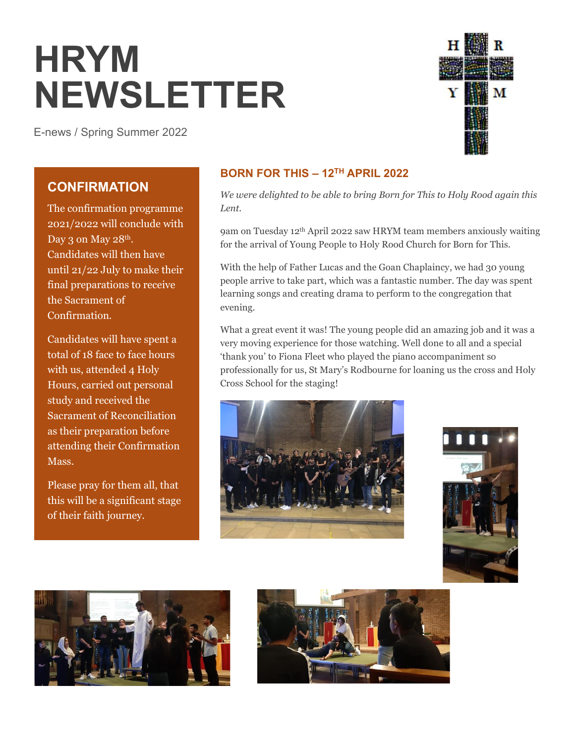# **HRYM NEWSLETTER**

E-news / Spring Summer 2022



## **CONFIRMATION**

The confirmation programme 2021/2022 will conclude with Day 3 on May 28<sup>th</sup>. Candidates will then have until 21/22 July to make their final preparations to receive the Sacrament of Confirmation.

Candidates will have spent a total of 18 face to face hours with us, attended 4 Holy Hours, carried out personal study and received the Sacrament of Reconciliation as their preparation before attending their Confirmation Mass.

Please pray for them all, that this will be a significant stage of their faith journey.

## **BORN FOR THIS – 12TH APRIL 2022**

*We were delighted to be able to bring Born for This to Holy Rood again this Lent.*

9am on Tuesday 12th April 2022 saw HRYM team members anxiously waiting for the arrival of Young People to Holy Rood Church for Born for This.

With the help of Father Lucas and the Goan Chaplaincy, we had 30 young people arrive to take part, which was a fantastic number. The day was spent learning songs and creating drama to perform to the congregation that evening.

What a great event it was! The young people did an amazing job and it was a very moving experience for those watching. Well done to all and a special 'thank you' to Fiona Fleet who played the piano accompaniment so professionally for us, St Mary's Rodbourne for loaning us the cross and Holy Cross School for the staging!